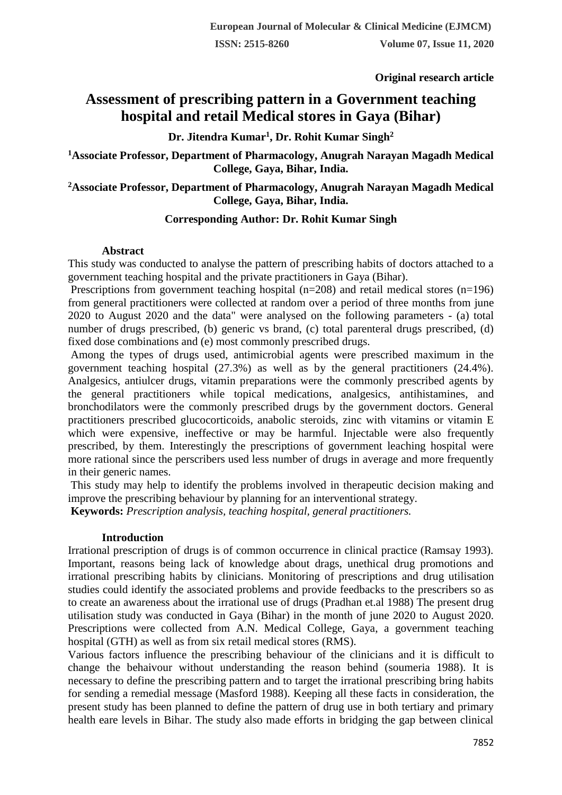**Original research article** 

# **Assessment of prescribing pattern in a Government teaching hospital and retail Medical stores in Gaya (Bihar)**

**Dr. Jitendra Kumar<sup>1</sup> , Dr. Rohit Kumar Singh<sup>2</sup>**

**<sup>1</sup>Associate Professor, Department of Pharmacology, Anugrah Narayan Magadh Medical College, Gaya, Bihar, India.**

# **<sup>2</sup>Associate Professor, Department of Pharmacology, Anugrah Narayan Magadh Medical College, Gaya, Bihar, India.**

# **Corresponding Author: Dr. Rohit Kumar Singh**

#### **Abstract**

This study was conducted to analyse the pattern of prescribing habits of doctors attached to a government teaching hospital and the private practitioners in Gaya (Bihar).

Prescriptions from government teaching hospital (n=208) and retail medical stores (n=196) from general practitioners were collected at random over a period of three months from june 2020 to August 2020 and the data" were analysed on the following parameters - (a) total number of drugs prescribed, (b) generic vs brand, (c) total parenteral drugs prescribed, (d) fixed dose combinations and (e) most commonly prescribed drugs.

Among the types of drugs used, antimicrobial agents were prescribed maximum in the government teaching hospital (27.3%) as well as by the general practitioners (24.4%). Analgesics, antiulcer drugs, vitamin preparations were the commonly prescribed agents by the general practitioners while topical medications, analgesics, antihistamines, and bronchodilators were the commonly prescribed drugs by the government doctors. General practitioners prescribed glucocorticoids, anabolic steroids, zinc with vitamins or vitamin E which were expensive, ineffective or may be harmful. Injectable were also frequently prescribed, by them. Interestingly the prescriptions of government leaching hospital were more rational since the perscribers used less number of drugs in average and more frequently in their generic names.

This study may help to identify the problems involved in therapeutic decision making and improve the prescribing behaviour by planning for an interventional strategy.

**Keywords:** *Prescription analysis, teaching hospital, general practitioners.*

# **Introduction**

Irrational prescription of drugs is of common occurrence in clinical practice (Ramsay 1993). Important, reasons being lack of knowledge about drags, unethical drug promotions and irrational prescribing habits by clinicians. Monitoring of prescriptions and drug utilisation studies could identify the associated problems and provide feedbacks to the prescribers so as to create an awareness about the irrational use of drugs (Pradhan et.al 1988) The present drug utilisation study was conducted in Gaya (Bihar) in the month of june 2020 to August 2020. Prescriptions were collected from A.N. Medical College, Gaya, a government teaching hospital (GTH) as well as from six retail medical stores (RMS).

Various factors influence the prescribing behaviour of the clinicians and it is difficult to change the behaivour without understanding the reason behind (soumeria 1988). It is necessary to define the prescribing pattern and to target the irrational prescribing bring habits for sending a remedial message (Masford 1988). Keeping all these facts in consideration, the present study has been planned to define the pattern of drug use in both tertiary and primary health eare levels in Bihar. The study also made efforts in bridging the gap between clinical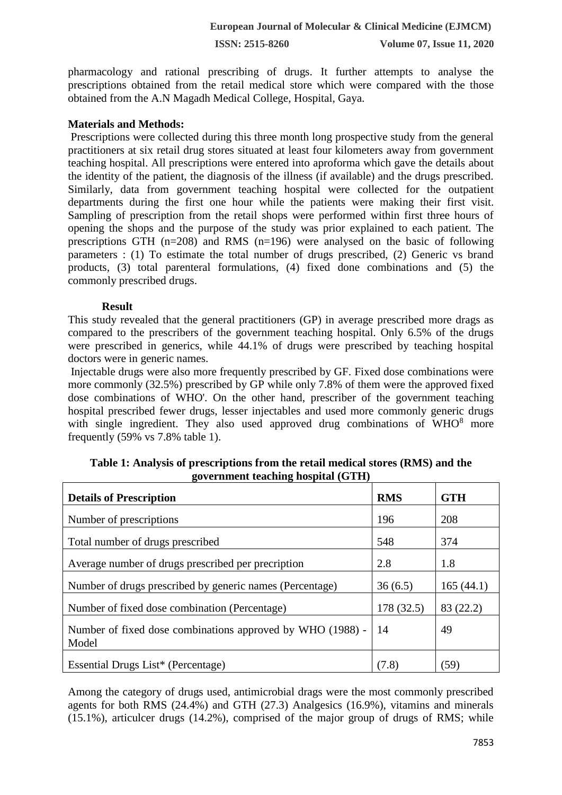**ISSN: 2515-8260 Volume 07, Issue 11, 2020**

pharmacology and rational prescribing of drugs. It further attempts to analyse the prescriptions obtained from the retail medical store which were compared with the those obtained from the A.N Magadh Medical College, Hospital, Gaya.

### **Materials and Methods:**

Prescriptions were collected during this three month long prospective study from the general practitioners at six retail drug stores situated at least four kilometers away from government teaching hospital. All prescriptions were entered into aproforma which gave the details about the identity of the patient, the diagnosis of the illness (if available) and the drugs prescribed. Similarly, data from government teaching hospital were collected for the outpatient departments during the first one hour while the patients were making their first visit. Sampling of prescription from the retail shops were performed within first three hours of opening the shops and the purpose of the study was prior explained to each patient. The prescriptions GTH (n=208) and RMS (n=196) were analysed on the basic of following parameters : (1) To estimate the total number of drugs prescribed, (2) Generic vs brand products, (3) total parenteral formulations, (4) fixed done combinations and (5) the commonly prescribed drugs.

#### **Result**

This study revealed that the general practitioners (GP) in average prescribed more drags as compared to the prescribers of the government teaching hospital. Only 6.5% of the drugs were prescribed in generics, while 44.1% of drugs were prescribed by teaching hospital doctors were in generic names.

Injectable drugs were also more frequently prescribed by GF. Fixed dose combinations were more commonly (32.5%) prescribed by GP while only 7.8% of them were the approved fixed dose combinations of WHO'. On the other hand, prescriber of the government teaching hospital prescribed fewer drugs, lesser injectables and used more commonly generic drugs with single ingredient. They also used approved drug combinations of  $WHO<sup>8</sup>$  more frequently (59% vs 7.8% table 1).

| <b>Details of Prescription</b>                             | <b>RMS</b> | <b>GTH</b> |
|------------------------------------------------------------|------------|------------|
| Number of prescriptions                                    | 196        | 208        |
| Total number of drugs prescribed                           | 548        | 374        |
| Average number of drugs prescribed per precription         | 2.8        | 1.8        |
| Number of drugs prescribed by generic names (Percentage)   | 36(6.5)    | 165(44.1)  |
| Number of fixed dose combination (Percentage)              | 178 (32.5) | 83 (22.2)  |
| Number of fixed dose combinations approved by WHO (1988) - | 14         | 49         |
| Model                                                      |            |            |
| Essential Drugs List* (Percentage)                         | (7.8)      | (59)       |

**Table 1: Analysis of prescriptions from the retail medical stores (RMS) and the government teaching hospital (GTH)** 

Among the category of drugs used, antimicrobial drags were the most commonly prescribed agents for both RMS (24.4%) and GTH (27.3) Analgesics (16.9%), vitamins and minerals (15.1%), articulcer drugs (14.2%), comprised of the major group of drugs of RMS; while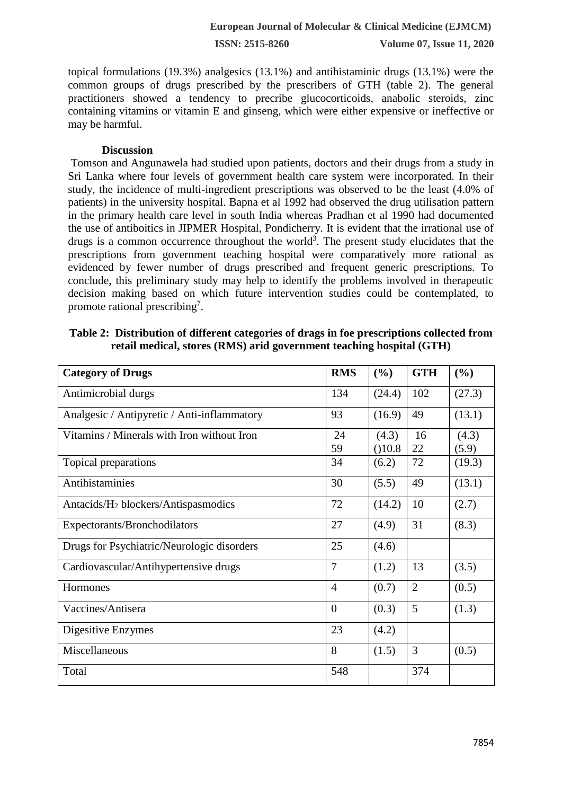**ISSN: 2515-8260 Volume 07, Issue 11, 2020**

topical formulations (19.3%) analgesics (13.1%) and antihistaminic drugs (13.1%) were the common groups of drugs prescribed by the prescribers of GTH (table 2). The general practitioners showed a tendency to precribe glucocorticoids, anabolic steroids, zinc containing vitamins or vitamin E and ginseng, which were either expensive or ineffective or may be harmful.

#### **Discussion**

Tomson and Angunawela had studied upon patients, doctors and their drugs from a study in Sri Lanka where four levels of government health care system were incorporated. In their study, the incidence of multi-ingredient prescriptions was observed to be the least (4.0% of patients) in the university hospital. Bapna et al 1992 had observed the drug utilisation pattern in the primary health care level in south India whereas Pradhan et al 1990 had documented the use of antiboitics in JIPMER Hospital, Pondicherry. It is evident that the irrational use of drugs is a common occurrence throughout the world<sup>3</sup>. The present study elucidates that the prescriptions from government teaching hospital were comparatively more rational as evidenced by fewer number of drugs prescribed and frequent generic prescriptions. To conclude, this preliminary study may help to identify the problems involved in therapeutic decision making based on which future intervention studies could be contemplated, to promote rational prescribing<sup>7</sup>.

**Table 2: Distribution of different categories of drags in foe prescriptions collected from retail medical, stores (RMS) arid government teaching hospital (GTH)**

| <b>Category of Drugs</b>                        | <b>RMS</b>     | (%)             | <b>GTH</b>     | (%)            |
|-------------------------------------------------|----------------|-----------------|----------------|----------------|
| Antimicrobial durgs                             | 134            | (24.4)          | 102            | (27.3)         |
| Analgesic / Antipyretic / Anti-inflammatory     | 93             | (16.9)          | 49             | (13.1)         |
| Vitamins / Minerals with Iron without Iron      | 24<br>59       | (4.3)<br>(10.8) | 16<br>22       | (4.3)<br>(5.9) |
| Topical preparations                            | 34             | (6.2)           | 72             | (19.3)         |
| Antihistaminies                                 | 30             | (5.5)           | 49             | (13.1)         |
| Antacids/H <sub>2</sub> blockers/Antispasmodics | 72             | (14.2)          | 10             | (2.7)          |
| Expectorants/Bronchodilators                    | 27             | (4.9)           | 31             | (8.3)          |
| Drugs for Psychiatric/Neurologic disorders      | 25             | (4.6)           |                |                |
| Cardiovascular/Antihypertensive drugs           | $\overline{7}$ | (1.2)           | 13             | (3.5)          |
| Hormones                                        | $\overline{4}$ | (0.7)           | $\overline{2}$ | (0.5)          |
| Vaccines/Antisera                               | $\overline{0}$ | (0.3)           | 5              | (1.3)          |
| Digesitive Enzymes                              | 23             | (4.2)           |                |                |
| Miscellaneous                                   | 8              | (1.5)           | 3              | (0.5)          |
| Total                                           | 548            |                 | 374            |                |